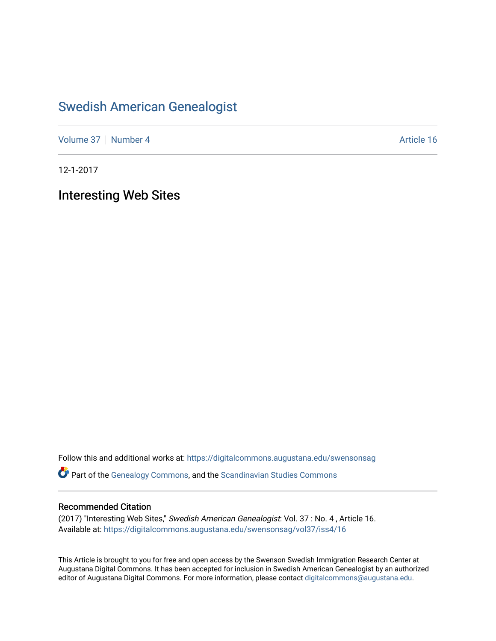### [Swedish American Genealogist](https://digitalcommons.augustana.edu/swensonsag)

[Volume 37](https://digitalcommons.augustana.edu/swensonsag/vol37) [Number 4](https://digitalcommons.augustana.edu/swensonsag/vol37/iss4) Article 16

12-1-2017

Interesting Web Sites

Follow this and additional works at: [https://digitalcommons.augustana.edu/swensonsag](https://digitalcommons.augustana.edu/swensonsag?utm_source=digitalcommons.augustana.edu%2Fswensonsag%2Fvol37%2Fiss4%2F16&utm_medium=PDF&utm_campaign=PDFCoverPages) 

Part of the [Genealogy Commons,](http://network.bepress.com/hgg/discipline/1342?utm_source=digitalcommons.augustana.edu%2Fswensonsag%2Fvol37%2Fiss4%2F16&utm_medium=PDF&utm_campaign=PDFCoverPages) and the [Scandinavian Studies Commons](http://network.bepress.com/hgg/discipline/485?utm_source=digitalcommons.augustana.edu%2Fswensonsag%2Fvol37%2Fiss4%2F16&utm_medium=PDF&utm_campaign=PDFCoverPages)

#### Recommended Citation

(2017) "Interesting Web Sites," Swedish American Genealogist: Vol. 37 : No. 4 , Article 16. Available at: [https://digitalcommons.augustana.edu/swensonsag/vol37/iss4/16](https://digitalcommons.augustana.edu/swensonsag/vol37/iss4/16?utm_source=digitalcommons.augustana.edu%2Fswensonsag%2Fvol37%2Fiss4%2F16&utm_medium=PDF&utm_campaign=PDFCoverPages) 

This Article is brought to you for free and open access by the Swenson Swedish Immigration Research Center at Augustana Digital Commons. It has been accepted for inclusion in Swedish American Genealogist by an authorized editor of Augustana Digital Commons. For more information, please contact [digitalcommons@augustana.edu.](mailto:digitalcommons@augustana.edu)